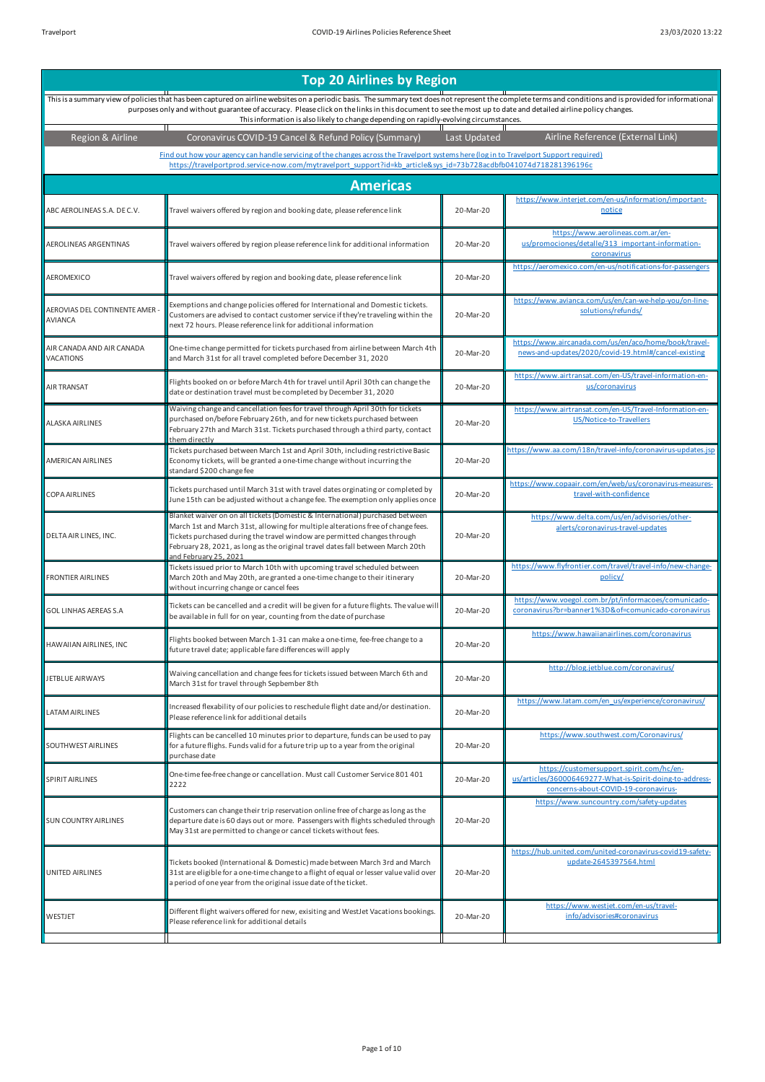| <b>Top 20 Airlines by Region</b>               |                                                                                                                                                                                                                                                                                                                                                                                                                                                                     |              |                                                                                                                                                |  |
|------------------------------------------------|---------------------------------------------------------------------------------------------------------------------------------------------------------------------------------------------------------------------------------------------------------------------------------------------------------------------------------------------------------------------------------------------------------------------------------------------------------------------|--------------|------------------------------------------------------------------------------------------------------------------------------------------------|--|
|                                                | This is a summary view of policies that has been captured on airline websites on a periodic basis. The summary text does not represent the complete terms and conditions and is provided for informational<br>purposes only and without guarantee of accuracy. Please click on the links in this document to see the most up to date and detailed airline policy changes.<br>This information is also likely to change depending on rapidly-evolving circumstances. |              |                                                                                                                                                |  |
| Region & Airline                               | Т<br>Coronavirus COVID-19 Cancel & Refund Policy (Summary)                                                                                                                                                                                                                                                                                                                                                                                                          | Last Updated | Airline Reference (External Link)                                                                                                              |  |
|                                                | Find out how your agency can handle servicing of the changes across the Travelport systems here (log in to Travelport Support required)<br>https://travelportprod.service-now.com/mytravelport_support?id=kb_article&sys_id=73b728acdbfb041074d718281396196c                                                                                                                                                                                                        |              |                                                                                                                                                |  |
|                                                | <b>Americas</b>                                                                                                                                                                                                                                                                                                                                                                                                                                                     |              |                                                                                                                                                |  |
| ABC AEROLINEAS S.A. DE C.V.                    | Travel waivers offered by region and booking date, please reference link                                                                                                                                                                                                                                                                                                                                                                                            | 20-Mar-20    | https://www.interjet.com/en-us/information/important-<br>notice                                                                                |  |
| AEROLINEAS ARGENTINAS                          | Travel waivers offered by region please reference link for additional information                                                                                                                                                                                                                                                                                                                                                                                   | 20-Mar-20    | https://www.aerolineas.com.ar/en-<br>us/promociones/detalle/313 important-information-<br>coronavirus                                          |  |
| AEROMEXICO                                     | Travel waivers offered by region and booking date, please reference link                                                                                                                                                                                                                                                                                                                                                                                            | 20-Mar-20    | https://aeromexico.com/en-us/notifications-for-passengers                                                                                      |  |
| AEROVIAS DEL CONTINENTE AMER<br><b>AVIANCA</b> | Exemptions and change policies offered for International and Domestic tickets.<br>Customers are advised to contact customer service if they're traveling within the<br>next 72 hours. Please reference link for additional information                                                                                                                                                                                                                              | 20-Mar-20    | https://www.avianca.com/us/en/can-we-help-you/on-line-<br>solutions/refunds/                                                                   |  |
| AIR CANADA AND AIR CANADA<br>VACATIONS         | One-time change permitted for tickets purchased from airline between March 4th<br>and March 31st for all travel completed before December 31, 2020                                                                                                                                                                                                                                                                                                                  | 20-Mar-20    | https://www.aircanada.com/us/en/aco/home/book/travel-<br>news-and-updates/2020/covid-19.html#/cancel-existing                                  |  |
| AIR TRANSAT                                    | Flights booked on or before March 4th for travel until April 30th can change the<br>date or destination travel must be completed by December 31, 2020                                                                                                                                                                                                                                                                                                               | 20-Mar-20    | https://www.airtransat.com/en-US/travel-information-en-<br>us/coronavirus                                                                      |  |
| <b>ALASKA AIRLINES</b>                         | Waiving change and cancellation fees for travel through April 30th for tickets<br>purchased on/before February 26th, and for new tickets purchased between<br>February 27th and March 31st. Tickets purchased through a third party, contact<br>them directly                                                                                                                                                                                                       | 20-Mar-20    | https://www.airtransat.com/en-US/Travel-Information-en-<br>US/Notice-to-Travellers                                                             |  |
| AMERICAN AIRLINES                              | Tickets purchased between March 1st and April 30th, including restrictive Basic<br>Economy tickets, will be granted a one-time change without incurring the<br>standard \$200 change fee                                                                                                                                                                                                                                                                            | 20-Mar-20    | https://www.aa.com/i18n/travel-info/coronavirus-updates.jsp                                                                                    |  |
| COPA AIRLINES                                  | Tickets purchased until March 31st with travel dates orginating or completed by<br>June 15th can be adjusted without a change fee. The exemption only applies once                                                                                                                                                                                                                                                                                                  | 20-Mar-20    | https://www.copaair.com/en/web/us/coronavirus-measures-<br>travel-with-confidence                                                              |  |
| DELTA AIR LINES, INC.                          | Blanket waiver on on all tickets (Domestic & International) purchased between<br>March 1st and March 31st, allowing for multiple alterations free of change fees.<br>Tickets purchased during the travel window are permitted changes through<br>February 28, 2021, as long as the original travel dates fall between March 20th<br>and February 25, 2021                                                                                                           | 20-Mar-20    | https://www.delta.com/us/en/advisories/other-<br>alerts/coronavirus-travel-updates                                                             |  |
| FRONTIER AIRLINES                              | Tickets issued prior to March 10th with upcoming travel scheduled between<br>March 20th and May 20th, are granted a one-time change to their itinerary<br>without incurring change or cancel fees                                                                                                                                                                                                                                                                   | 20-Mar-20    | https://www.flyfrontier.com/travel/travel-info/new-change-<br>policy/                                                                          |  |
| GOL LINHAS AEREAS S.A                          | Tickets can be cancelled and a credit will be given for a future flights. The value will<br>be available in full for on year, counting from the date of purchase                                                                                                                                                                                                                                                                                                    | 20-Mar-20    | https://www.voegol.com.br/pt/informacoes/comunicado-<br>coronavirus?br=banner1%3D&of=comunicado-coronavirus                                    |  |
| HAWAIIAN AIRLINES, INC                         | Flights booked between March 1-31 can make a one-time, fee-free change to a<br>uture travel date; applicable fare differences will apply                                                                                                                                                                                                                                                                                                                            | 20-Mar-20    | https://www.hawaiianairlines.com/coronavirus                                                                                                   |  |
| JETBLUE AIRWAYS                                | Waiving cancellation and change fees for tickets issued between March 6th and<br>March 31st for travel through Sepbember 8th                                                                                                                                                                                                                                                                                                                                        | 20-Mar-20    | http://blog.jetblue.com/coronavirus/                                                                                                           |  |
| ATAM AIRLINES                                  | Increased flexability of our policies to reschedule flight date and/or destination.<br>Please reference link for additional details                                                                                                                                                                                                                                                                                                                                 | 20-Mar-20    | https://www.latam.com/en_us/experience/coronavirus/                                                                                            |  |
| SOUTHWEST AIRLINES                             | Flights can be cancelled 10 minutes prior to departure, funds can be used to pay<br>for a future flighs. Funds valid for a future trip up to a year from the original<br>purchase date                                                                                                                                                                                                                                                                              | 20-Mar-20    | https://www.southwest.com/Coronavirus/                                                                                                         |  |
| SPIRIT AIRLINES                                | One-time fee-free change or cancellation. Must call Customer Service 801 401<br>2222                                                                                                                                                                                                                                                                                                                                                                                | 20-Mar-20    | https://customersupport.spirit.com/hc/en-<br>us/articles/360006469277-What-is-Spirit-doing-to-address-<br>concerns-about-COVID-19-coronavirus- |  |
| <b>SUN COUNTRY AIRLINES</b>                    | Customers can change their trip reservation online free of charge as long as the<br>departure date is 60 days out or more. Passengers with flights scheduled through<br>May 31st are permitted to change or cancel tickets without fees.                                                                                                                                                                                                                            | 20-Mar-20    | https://www.suncountry.com/safety-updates                                                                                                      |  |
| UNITED AIRLINES                                | Tickets booked (International & Domestic) made between March 3rd and March<br>31st are eligible for a one-time change to a flight of equal or lesser value valid over<br>a period of one year from the original issue date of the ticket.                                                                                                                                                                                                                           | 20-Mar-20    | https://hub.united.com/united-coronavirus-covid19-safety-<br>update-2645397564.html                                                            |  |
| WESTJET                                        | Different flight waivers offered for new, exisiting and WestJet Vacations bookings.<br>Please reference link for additional details                                                                                                                                                                                                                                                                                                                                 | 20-Mar-20    | https://www.westjet.com/en-us/travel-<br>info/advisories#coronavirus                                                                           |  |
|                                                |                                                                                                                                                                                                                                                                                                                                                                                                                                                                     |              |                                                                                                                                                |  |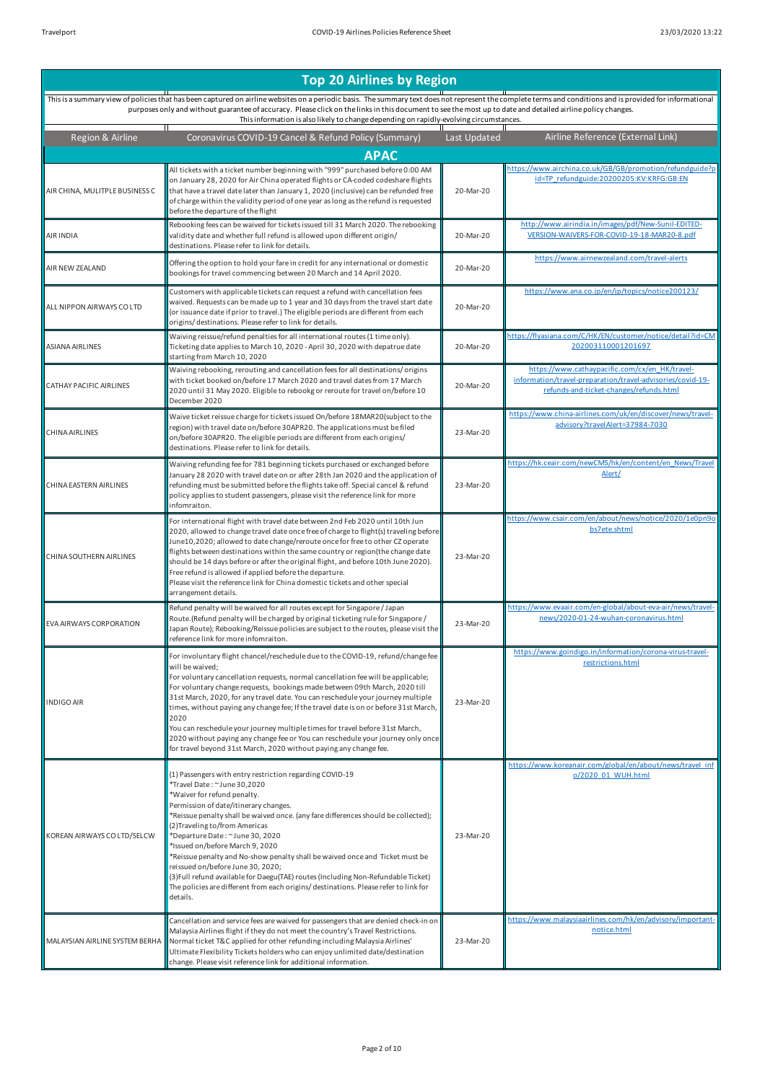| Region & Airline               | Coronavirus COVID-19 Cancel & Refund Policy (Summary)                                                                                                                                                                                                                                                                                                                                                                                                                                                                                                                                                                                                                                            | Last Updated | Airline Reference (External Link)                                                                                                                       |
|--------------------------------|--------------------------------------------------------------------------------------------------------------------------------------------------------------------------------------------------------------------------------------------------------------------------------------------------------------------------------------------------------------------------------------------------------------------------------------------------------------------------------------------------------------------------------------------------------------------------------------------------------------------------------------------------------------------------------------------------|--------------|---------------------------------------------------------------------------------------------------------------------------------------------------------|
|                                | <b>APAC</b>                                                                                                                                                                                                                                                                                                                                                                                                                                                                                                                                                                                                                                                                                      |              |                                                                                                                                                         |
| AIR CHINA, MULITPLE BUSINESS C | All tickets with a ticket number beginning with "999" purchased before 0:00 AM<br>on January 28, 2020 for Air China operated flights or CA-coded codeshare flights<br>that have a travel date later than January 1, 2020 (inclusive) can be refunded free<br>of charge within the validity period of one year as long as the refund is requested<br>before the departure of the flight                                                                                                                                                                                                                                                                                                           | 20-Mar-20    | https://www.airchina.co.uk/GB/GB/promotion/refundguide?p<br>id=TP_refundguide:20200205:KV:KRFG:GB:EN                                                    |
| AIR INDIA                      | Rebooking fees can be waived for tickets issued till 31 March 2020. The rebooking<br>validity date and whether full refund is allowed upon different origin/<br>destinations. Please refer to link for details.                                                                                                                                                                                                                                                                                                                                                                                                                                                                                  | 20-Mar-20    | http://www.airindia.in/images/pdf/New-Sunil-EDITED-<br>VERSION-WAIVERS-FOR-COVID-19-18-MAR20-8.pdf                                                      |
| AIR NEW ZEALAND                | Offering the option to hold your fare in credit for any international or domestic<br>bookings for travel commencing between 20 March and 14 April 2020.                                                                                                                                                                                                                                                                                                                                                                                                                                                                                                                                          | 20-Mar-20    | https://www.airnewzealand.com/travel-alerts                                                                                                             |
| ALL NIPPON AIRWAYS CO LTD      | Customers with applicable tickets can request a refund with cancellation fees<br>waived. Requests can be made up to 1 year and 30 days from the travel start date<br>(or issuance date if prior to travel.) The eligible periods are different from each<br>origins/destinations. Please refer to link for details.                                                                                                                                                                                                                                                                                                                                                                              | 20-Mar-20    | https://www.ana.co.jp/en/jp/topics/notice200123/                                                                                                        |
| ASIANA AIRLINES                | Waiving reissue/refund penalties for all international routes (1 time only).<br>Ticketing date applies to March 10, 2020 - April 30, 2020 with depatrue date<br>starting from March 10, 2020                                                                                                                                                                                                                                                                                                                                                                                                                                                                                                     | 20-Mar-20    | https://flyasiana.com/C/HK/EN/customer/notice/detail?id=CM<br>202003110001201697                                                                        |
| CATHAY PACIFIC AIRLINES        | Waiving rebooking, rerouting and cancellation fees for all destinations/origins<br>with ticket booked on/before 17 March 2020 and travel dates from 17 March<br>2020 until 31 May 2020. Eligible to rebookg or reroute for travel on/before 10<br>December 2020                                                                                                                                                                                                                                                                                                                                                                                                                                  | 20-Mar-20    | https://www.cathaypacific.com/cx/en HK/travel-<br>information/travel-preparation/travel-advisories/covid-19-<br>refunds-and-ticket-changes/refunds.html |
| CHINA AIRLINES                 | Waive ticket reissue charge for tickets issued On/before 18MAR20(subject to the<br>region) with travel date on/before 30APR20. The applications must be filed<br>on/before 30APR20. The eligible periods are different from each origins/<br>destinations. Please refer to link for details.                                                                                                                                                                                                                                                                                                                                                                                                     | 23-Mar-20    | https://www.china-airlines.com/uk/en/discover/news/travel-<br>advisory?travelAlert=37984-7030                                                           |
| CHINA EASTERN AIRLINES         | Waiving refunding fee for 781 beginning tickets purchased or exchanged before<br>January 28 2020 with travel date on or after 28th Jan 2020 and the application of<br>refunding must be submitted before the flights take off. Special cancel & refund<br>policy applies to student passengers, please visit the reference link for more<br>infomraiton.                                                                                                                                                                                                                                                                                                                                         | 23-Mar-20    | https://hk.ceair.com/newCMS/hk/en/content/en News/Travel<br>Alert/                                                                                      |
| CHINA SOUTHERN AIRLINES        | For international flight with travel date between 2nd Feb 2020 until 10th Jun<br>2020, allowed to change travel date once free of charge to flight(s) traveling before<br>June10,2020; allowed to date change/reroute once for free to other CZ operate<br>flights between destinations within the same country or region(the change date<br>should be 14 days before or after the original flight, and before 10th June 2020).<br>Free refund is allowed if applied before the departure.<br>Please visit the reference link for China domestic tickets and other special<br>arrangement details.                                                                                               | 23-Mar-20    | https://www.csair.com/en/about/news/notice/2020/1e0pn9o<br>bs7ete.shtml                                                                                 |
| EVA AIRWAYS CORPORATION        | Refund penalty will be waived for all routes except for Singapore / Japan<br>Route. (Refund penalty will be charged by original ticketing rule for Singapore /<br>lapan Route); Rebooking/Reissue policies are subject to the routes, please visit the<br>reference link for more infomraiton.                                                                                                                                                                                                                                                                                                                                                                                                   | 23-Mar-20    | https://www.evaair.com/en-global/about-eva-air/news/travel-<br>news/2020-01-24-wuhan-coronavirus.html                                                   |
| INDIGO AIR                     | For involuntary flight chancel/reschedule due to the COVID-19, refund/change fee<br>will be waived;<br>For voluntary cancellation requests, normal cancellation fee will be applicable;<br>For voluntary change requests, bookings made between 09th March, 2020 till<br>31st March, 2020, for any travel date. You can reschedule your journey multiple<br>times, without paying any change fee; If the travel date is on or before 31st March,<br>2020<br>You can reschedule your journey multiple times for travel before 31st March,<br>2020 without paying any change fee or You can reschedule your journey only once<br>for travel beyond 31st March, 2020 without paying any change fee. | 23-Mar-20    | https://www.goindigo.in/information/corona-virus-travel-<br>restrictions.html                                                                           |
| KOREAN AIRWAYS CO LTD/SELCW    | (1) Passengers with entry restriction regarding COVID-19<br>*Travel Date: ~ June 30,2020<br>*Waiver for refund penalty.<br>Permission of date/itinerary changes.<br>*Reissue penalty shall be waived once. (any fare differences should be collected);<br>(2)Traveling to/from Americas<br>*Departure Date: ~ June 30, 2020<br>*Issued on/before March 9, 2020<br>*Reissue penalty and No-show penalty shall be waived once and Ticket must be<br>reissued on/before June 30, 2020;<br>(3) Full refund available for Daegu (TAE) routes (Including Non-Refundable Ticket)<br>The policies are different from each origins/destinations. Please refer to link for<br>details.                     | 23-Mar-20    | https://www.koreanair.com/global/en/about/news/travel inf<br>o/2020 01 WUH.html                                                                         |
| MALAYSIAN AIRLINE SYSTEM BERHA | Cancellation and service fees are waived for passengers that are denied check-in on<br>Malaysia Airlines flight if they do not meet the country's Travel Restrictions.<br>Normal ticket T&C applied for other refunding including Malaysia Airlines'<br>Ultimate Flexibility Tickets holders who can enjoy unlimited date/destination<br>change. Please visit reference link for additional information.                                                                                                                                                                                                                                                                                         | 23-Mar-20    | https://www.malaysiaairlines.com/hk/en/advisory/important-<br>notice.html                                                                               |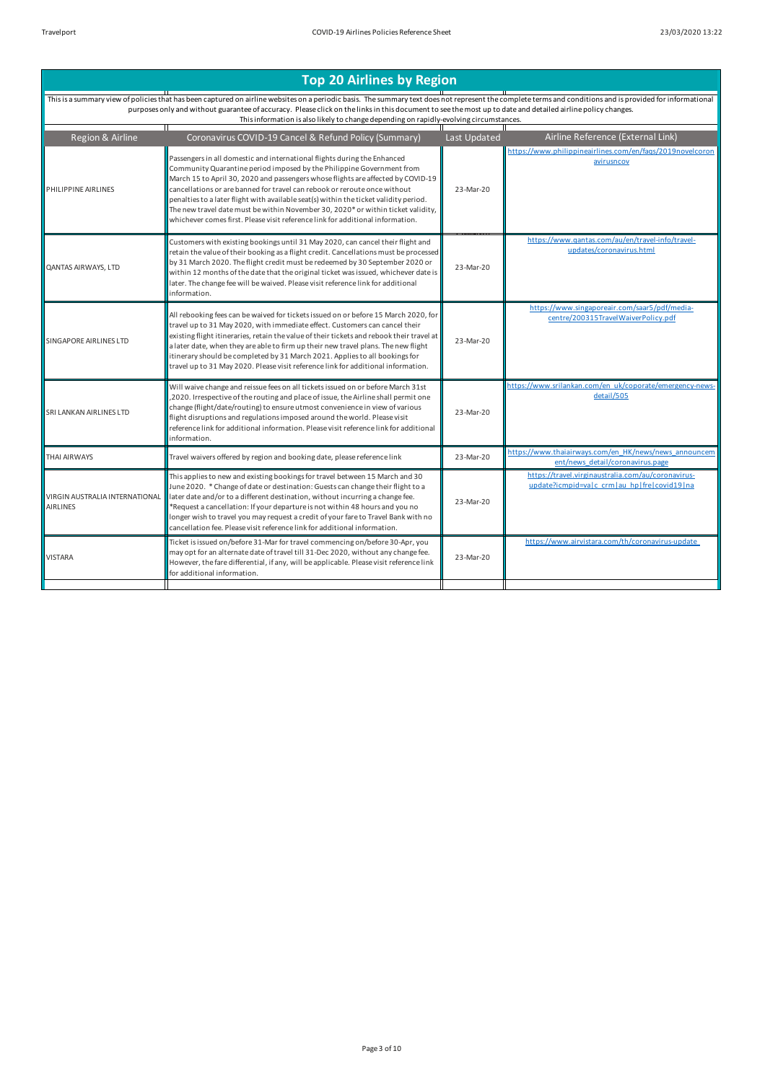|                                                                                                                                                                                                                                                                                                                                                                                                                                                                                                                                                                                   |                                                       | Airline Reference (External Link)                                                                 |
|-----------------------------------------------------------------------------------------------------------------------------------------------------------------------------------------------------------------------------------------------------------------------------------------------------------------------------------------------------------------------------------------------------------------------------------------------------------------------------------------------------------------------------------------------------------------------------------|-------------------------------------------------------|---------------------------------------------------------------------------------------------------|
| Passengers in all domestic and international flights during the Enhanced<br>Community Quarantine period imposed by the Philippine Government from<br>March 15 to April 30, 2020 and passengers whose flights are affected by COVID-19<br>cancellations or are banned for travel can rebook or reroute once without<br>penalties to a later flight with available seat(s) within the ticket validity period.<br>The new travel date must be within November 30, 2020* or within ticket validity,<br>whichever comes first. Please visit reference link for additional information. | 23-Mar-20                                             | https://www.philippineairlines.com/en/faqs/2019novelcoron<br>avirusncov                           |
| Customers with existing bookings until 31 May 2020, can cancel their flight and<br>retain the value of their booking as a flight credit. Cancellations must be processed<br>by 31 March 2020. The flight credit must be redeemed by 30 September 2020 or<br>within 12 months of the date that the original ticket was issued, whichever date is<br>later. The change fee will be waived. Please visit reference link for additional<br>information.                                                                                                                               | 23-Mar-20                                             | https://www.qantas.com/au/en/travel-info/travel-<br>updates/coronavirus.html                      |
| All rebooking fees can be waived for tickets issued on or before 15 March 2020, for<br>travel up to 31 May 2020, with immediate effect. Customers can cancel their<br>existing flight itineraries, retain the value of their tickets and rebook their travel at<br>a later date, when they are able to firm up their new travel plans. The new flight<br>itinerary should be completed by 31 March 2021. Applies to all bookings for<br>travel up to 31 May 2020. Please visit reference link for additional information.                                                         | 23-Mar-20                                             | https://www.singaporeair.com/saar5/pdf/media-<br>centre/200315TravelWaiverPolicy.pdf              |
| Will waive change and reissue fees on all tickets issued on or before March 31st<br>,2020. Irrespective of the routing and place of issue, the Airline shall permit one<br>change (flight/date/routing) to ensure utmost convenience in view of various<br>flight disruptions and regulations imposed around the world. Please visit<br>reference link for additional information. Please visit reference link for additional<br>information.                                                                                                                                     | 23-Mar-20                                             | https://www.srilankan.com/en_uk/coporate/emergency-news-<br>detail/505                            |
| Travel waivers offered by region and booking date, please reference link                                                                                                                                                                                                                                                                                                                                                                                                                                                                                                          | 23-Mar-20                                             | https://www.thaiairways.com/en HK/news/news announcem<br>ent/news detail/coronavirus.page         |
| This applies to new and existing bookings for travel between 15 March and 30<br>June 2020. * Change of date or destination: Guests can change their flight to a<br>later date and/or to a different destination, without incurring a change fee.<br>*Request a cancellation: If your departure is not within 48 hours and you no<br>longer wish to travel you may request a credit of your fare to Travel Bank with no<br>cancellation fee. Please visit reference link for additional information.                                                                               | 23-Mar-20                                             | https://travel.virginaustralia.com/au/coronavirus-<br>update?icmpid=valc_crmlau_hplfrelcovid19lna |
| Ticket is issued on/before 31-Mar for travel commencing on/before 30-Apr, you<br>may opt for an alternate date of travel till 31-Dec 2020, without any change fee.<br>However, the fare differential, if any, will be applicable. Please visit reference link<br>for additional information.                                                                                                                                                                                                                                                                                      | 23-Mar-20                                             | https://www.airvistara.com/th/coronavirus-update                                                  |
|                                                                                                                                                                                                                                                                                                                                                                                                                                                                                                                                                                                   | Coronavirus COVID-19 Cancel & Refund Policy (Summary) | Last Updated                                                                                      |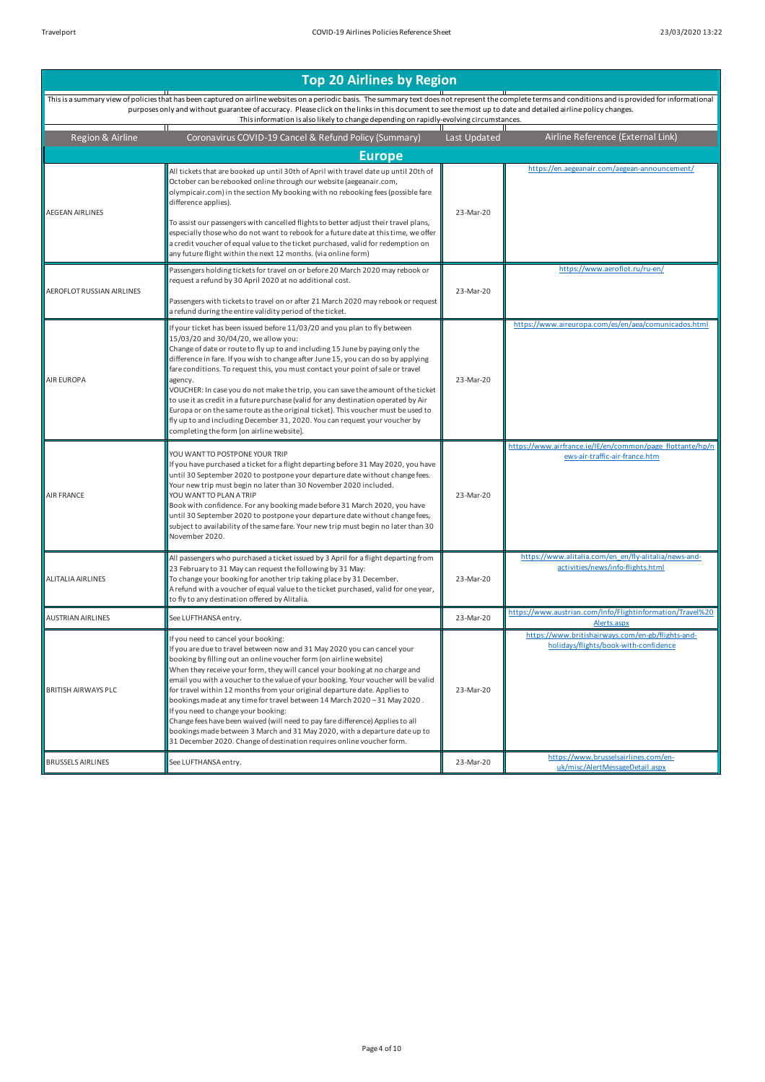| Region & Airline          | Coronavirus COVID-19 Cancel & Refund Policy (Summary)                                                                                                                                                                                                                                                                                                                                                                                                                                                                                                                                                                                                                                                                                                                                               | Last Updated | Airline Reference (External Link)                                                           |
|---------------------------|-----------------------------------------------------------------------------------------------------------------------------------------------------------------------------------------------------------------------------------------------------------------------------------------------------------------------------------------------------------------------------------------------------------------------------------------------------------------------------------------------------------------------------------------------------------------------------------------------------------------------------------------------------------------------------------------------------------------------------------------------------------------------------------------------------|--------------|---------------------------------------------------------------------------------------------|
|                           | <b>Europe</b>                                                                                                                                                                                                                                                                                                                                                                                                                                                                                                                                                                                                                                                                                                                                                                                       |              |                                                                                             |
| <b>AEGEAN AIRLINES</b>    | All tickets that are booked up until 30th of April with travel date up until 20th of<br>October can be rebooked online through our website (aegeanair.com,<br>olympicair.com) in the section My booking with no rebooking fees (possible fare<br>difference applies).<br>To assist our passengers with cancelled flights to better adjust their travel plans,<br>especially those who do not want to rebook for a future date at this time, we offer<br>a credit voucher of equal value to the ticket purchased, valid for redemption on<br>any future flight within the next 12 months. (via online form)                                                                                                                                                                                          | 23-Mar-20    | https://en.aegeanair.com/aegean-announcement/                                               |
| AEROFLOT RUSSIAN AIRLINES | Passengers holding tickets for travel on or before 20 March 2020 may rebook or<br>request a refund by 30 April 2020 at no additional cost.<br>Passengers with tickets to travel on or after 21 March 2020 may rebook or request<br>a refund during the entire validity period of the ticket.                                                                                                                                                                                                                                                                                                                                                                                                                                                                                                        | 23-Mar-20    | https://www.aeroflot.ru/ru-en/                                                              |
| <b>AIR EUROPA</b>         | If your ticket has been issued before 11/03/20 and you plan to fly between<br>15/03/20 and 30/04/20, we allow you:<br>Change of date or route to fly up to and including 15 June by paying only the<br>difference in fare. If you wish to change after June 15, you can do so by applying<br>fare conditions. To request this, you must contact your point of sale or travel<br>agency.<br>VOUCHER: In case you do not make the trip, you can save the amount of the ticket<br>to use it as credit in a future purchase (valid for any destination operated by Air<br>Europa or on the same route as the original ticket). This voucher must be used to<br>fly up to and including December 31, 2020. You can request your voucher by<br>completing the form [on airline website].                  | 23-Mar-20    | https://www.aireuropa.com/es/en/aea/comunicados.html                                        |
| AIR FRANCE                | YOU WANT TO POSTPONE YOUR TRIP<br>If you have purchased a ticket for a flight departing before 31 May 2020, you have<br>until 30 September 2020 to postpone your departure date without change fees.<br>Your new trip must begin no later than 30 November 2020 included.<br>YOU WANT TO PLAN A TRIP<br>Book with confidence. For any booking made before 31 March 2020, you have<br>until 30 September 2020 to postpone your departure date without change fees,<br>subject to availability of the same fare. Your new trip must begin no later than 30<br>November 2020.                                                                                                                                                                                                                          | 23-Mar-20    | https://www.airfrance.ie/IE/en/common/page flottante/hp/n<br>ews-air-traffic-air-france.htm |
| <b>ALITALIA AIRLINES</b>  | All passengers who purchased a ticket issued by 3 April for a flight departing from<br>23 February to 31 May can request the following by 31 May:<br>To change your booking for another trip taking place by 31 December.<br>A refund with a voucher of equal value to the ticket purchased, valid for one year,<br>to fly to any destination offered by Alitalia.                                                                                                                                                                                                                                                                                                                                                                                                                                  | 23-Mar-20    | https://www.alitalia.com/en_en/fly-alitalia/news-and-<br>activities/news/info-flights.html  |
| <b>AUSTRIAN AIRLINES</b>  | See LUFTHANSA entry.                                                                                                                                                                                                                                                                                                                                                                                                                                                                                                                                                                                                                                                                                                                                                                                | 23-Mar-20    | https://www.austrian.com/Info/Flightinformation/Travel%20<br>Alerts.aspx                    |
| BRITISH AIRWAYS PLC       | If you need to cancel your booking:<br>If you are due to travel between now and 31 May 2020 you can cancel your<br>booking by filling out an online voucher form (on airline website)<br>When they receive your form, they will cancel your booking at no charge and<br>email you with a voucher to the value of your booking. Your voucher will be valid<br>for travel within 12 months from your original departure date. Applies to<br>bookings made at any time for travel between 14 March 2020 - 31 May 2020.<br>If you need to change your booking:<br>Change fees have been waived (will need to pay fare difference) Applies to all<br>bookings made between 3 March and 31 May 2020, with a departure date up to<br>31 December 2020. Change of destination requires online voucher form. | 23-Mar-20    | https://www.britishairways.com/en-gb/flights-and-<br>holidays/flights/book-with-confidence  |
| <b>BRUSSELS AIRLINES</b>  | See LUFTHANSA entry.                                                                                                                                                                                                                                                                                                                                                                                                                                                                                                                                                                                                                                                                                                                                                                                | 23-Mar-20    | https://www.brusselsairlines.com/en-<br>uk/misc/AlertMessageDetail.aspx                     |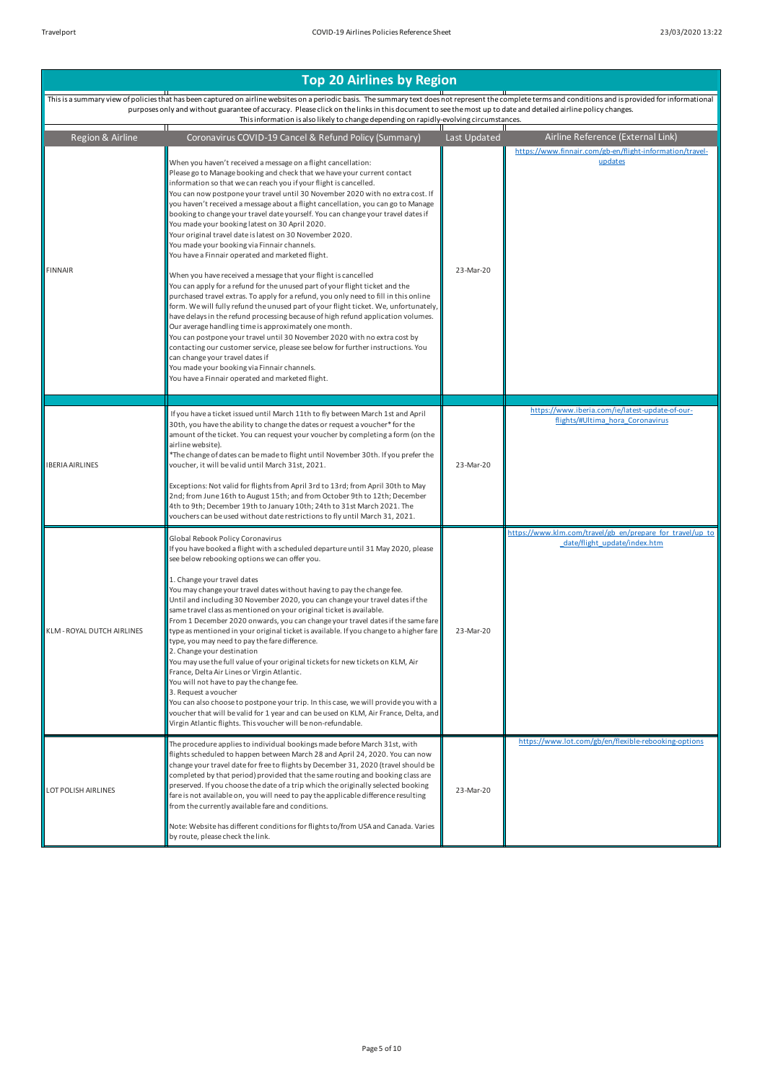This is a summary view of policies that has been captured on airline websites on a periodic basis. The summary text does not represent the complete terms and conditions and is provided for informational<br>purposes only and w ntee of accuracy. Please click on the links in this updation is also likely to change depending on rapidly-evolving circumstances.<br>This information is also likely to change depending on rapidly-evolving circumstances.<br>———  $\overline{\mathbf{r}}$ 

| Region & Airline           | Coronavirus COVID-19 Cancel & Refund Policy (Summary)                                                                                                                                                                                                                                                                                                                                                                                                                                                                                                                                                                                                                                                                                                                                                                                                                                                                                                                                                                                                                                                                                                                                                                                                                                                                                                                                                                                                                         | Last Updated | Airline Reference (External Link)                                                         |
|----------------------------|-------------------------------------------------------------------------------------------------------------------------------------------------------------------------------------------------------------------------------------------------------------------------------------------------------------------------------------------------------------------------------------------------------------------------------------------------------------------------------------------------------------------------------------------------------------------------------------------------------------------------------------------------------------------------------------------------------------------------------------------------------------------------------------------------------------------------------------------------------------------------------------------------------------------------------------------------------------------------------------------------------------------------------------------------------------------------------------------------------------------------------------------------------------------------------------------------------------------------------------------------------------------------------------------------------------------------------------------------------------------------------------------------------------------------------------------------------------------------------|--------------|-------------------------------------------------------------------------------------------|
| <b>FINNAIR</b>             | When you haven't received a message on a flight cancellation:<br>Please go to Manage booking and check that we have your current contact<br>information so that we can reach you if your flight is cancelled.<br>You can now postpone your travel until 30 November 2020 with no extra cost. If<br>you haven't received a message about a flight cancellation, you can go to Manage<br>booking to change your travel date yourself. You can change your travel dates if<br>You made your booking latest on 30 April 2020.<br>Your original travel date is latest on 30 November 2020.<br>You made your booking via Finnair channels.<br>You have a Finnair operated and marketed flight.<br>When you have received a message that your flight is cancelled<br>You can apply for a refund for the unused part of your flight ticket and the<br>purchased travel extras. To apply for a refund, you only need to fill in this online<br>form. We will fully refund the unused part of your flight ticket. We, unfortunately,<br>have delays in the refund processing because of high refund application volumes.<br>Our average handling time is approximately one month.<br>You can postpone your travel until 30 November 2020 with no extra cost by<br>contacting our customer service, please see below for further instructions. You<br>can change your travel dates if<br>You made your booking via Finnair channels.<br>You have a Finnair operated and marketed flight. | 23-Mar-20    | https://www.finnair.com/gb-en/flight-information/travel-<br>updates                       |
|                            | If you have a ticket issued until March 11th to fly between March 1st and April                                                                                                                                                                                                                                                                                                                                                                                                                                                                                                                                                                                                                                                                                                                                                                                                                                                                                                                                                                                                                                                                                                                                                                                                                                                                                                                                                                                               |              | https://www.iberia.com/ie/latest-update-of-our-<br>flights/#Ultima hora Coronavirus       |
| <b>IBERIA AIRLINES</b>     | 30th, you have the ability to change the dates or request a voucher* for the<br>amount of the ticket. You can request your voucher by completing a form (on the<br>airline website).<br>*The change of dates can be made to flight until November 30th. If you prefer the<br>voucher, it will be valid until March 31st, 2021.<br>Exceptions: Not valid for flights from April 3rd to 13rd; from April 30th to May<br>2nd; from June 16th to August 15th; and from October 9th to 12th; December<br>4th to 9th; December 19th to January 10th; 24th to 31st March 2021. The<br>vouchers can be used without date restrictions to fly until March 31, 2021.                                                                                                                                                                                                                                                                                                                                                                                                                                                                                                                                                                                                                                                                                                                                                                                                                    | 23-Mar-20    |                                                                                           |
| KLM - ROYAL DUTCH AIRLINES | Global Rebook Policy Coronavirus<br>If you have booked a flight with a scheduled departure until 31 May 2020, please<br>see below rebooking options we can offer you.<br>1. Change your travel dates<br>You may change your travel dates without having to pay the change fee.<br>Until and including 30 November 2020, you can change your travel dates if the<br>same travel class as mentioned on your original ticket is available.<br>From 1 December 2020 onwards, you can change your travel dates if the same fare<br>type as mentioned in your original ticket is available. If you change to a higher fare<br>type, you may need to pay the fare difference.<br>2. Change your destination<br>You may use the full value of your original tickets for new tickets on KLM, Air<br>France, Delta Air Lines or Virgin Atlantic.<br>You will not have to pay the change fee.<br>3. Request a voucher<br>You can also choose to postpone your trip. In this case, we will provide you with a<br>voucher that will be valid for 1 year and can be used on KLM, Air France, Delta, and<br>Virgin Atlantic flights. This voucher will be non-refundable.                                                                                                                                                                                                                                                                                                                    | 23-Mar-20    | https://www.klm.com/travel/gb_en/prepare_for_travel/up_to<br>date/flight update/index.htm |
| LOT POLISH AIRLINES        | The procedure applies to individual bookings made before March 31st, with<br>flights scheduled to happen between March 28 and April 24, 2020. You can now<br>change your travel date for free to flights by December 31, 2020 (travel should be<br>completed by that period) provided that the same routing and booking class are<br>preserved. If you choose the date of a trip which the originally selected booking<br>fare is not available on, you will need to pay the applicable difference resulting<br>from the currently available fare and conditions.<br>Note: Website has different conditions for flights to/from USA and Canada. Varies<br>by route, please check the link.                                                                                                                                                                                                                                                                                                                                                                                                                                                                                                                                                                                                                                                                                                                                                                                    | 23-Mar-20    | https://www.lot.com/gb/en/flexible-rebooking-options                                      |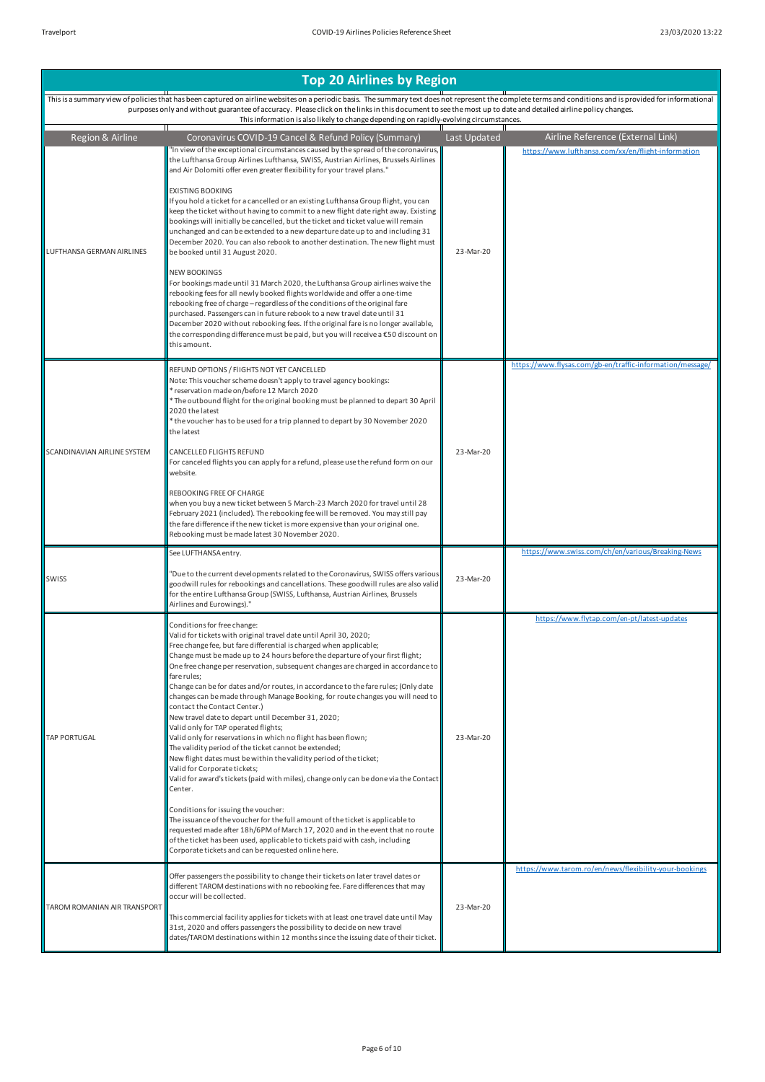|                              | This is a summary view of policies that has been captured on airline websites on a periodic basis. The summary text does not represent the complete terms and conditions and is provided for informational<br>purposes only and without guarantee of accuracy. Please click on the links in this document to see the most up to date and detailed airline policy changes.<br>This information is also likely to change depending on rapidly-evolving circumstances.                                                                                                                                                                                                                                                                                                                                                                                                                                                                                                                                                                                                                                                                                                                                                                                                                                                                                   |              |                                                           |
|------------------------------|-------------------------------------------------------------------------------------------------------------------------------------------------------------------------------------------------------------------------------------------------------------------------------------------------------------------------------------------------------------------------------------------------------------------------------------------------------------------------------------------------------------------------------------------------------------------------------------------------------------------------------------------------------------------------------------------------------------------------------------------------------------------------------------------------------------------------------------------------------------------------------------------------------------------------------------------------------------------------------------------------------------------------------------------------------------------------------------------------------------------------------------------------------------------------------------------------------------------------------------------------------------------------------------------------------------------------------------------------------|--------------|-----------------------------------------------------------|
| Region & Airline             | Coronavirus COVID-19 Cancel & Refund Policy (Summary)                                                                                                                                                                                                                                                                                                                                                                                                                                                                                                                                                                                                                                                                                                                                                                                                                                                                                                                                                                                                                                                                                                                                                                                                                                                                                                 | Last Updated | Airline Reference (External Link)                         |
| LUFTHANSA GERMAN AIRLINES    | "In view of the exceptional circumstances caused by the spread of the coronavirus,<br>the Lufthansa Group Airlines Lufthansa, SWISS, Austrian Airlines, Brussels Airlines<br>and Air Dolomiti offer even greater flexibility for your travel plans."<br><b>EXISTING BOOKING</b><br>If you hold a ticket for a cancelled or an existing Lufthansa Group flight, you can<br>keep the ticket without having to commit to a new flight date right away. Existing<br>bookings will initially be cancelled, but the ticket and ticket value will remain<br>unchanged and can be extended to a new departure date up to and including 31<br>December 2020. You can also rebook to another destination. The new flight must<br>be booked until 31 August 2020.<br><b>NEW BOOKINGS</b><br>For bookings made until 31 March 2020, the Lufthansa Group airlines waive the<br>rebooking fees for all newly booked flights worldwide and offer a one-time<br>rebooking free of charge - regardless of the conditions of the original fare<br>purchased. Passengers can in future rebook to a new travel date until 31<br>December 2020 without rebooking fees. If the original fare is no longer available,<br>the corresponding difference must be paid, but you will receive a €50 discount on<br>this amount.                                                   | 23-Mar-20    | https://www.lufthansa.com/xx/en/flight-information        |
| SCANDINAVIAN AIRLINE SYSTEM  | REFUND OPTIONS / FIIGHTS NOT YET CANCELLED<br>Note: This voucher scheme doesn't apply to travel agency bookings:<br>reservation made on/before 12 March 2020<br>* The outbound flight for the original booking must be planned to depart 30 April<br>2020 the latest<br>* the voucher has to be used for a trip planned to depart by 30 November 2020<br>the latest<br>CANCELLED FLIGHTS REFUND<br>For canceled flights you can apply for a refund, please use the refund form on our<br>website.<br>REBOOKING FREE OF CHARGE<br>when you buy a new ticket between 5 March-23 March 2020 for travel until 28<br>February 2021 (included). The rebooking fee will be removed. You may still pay<br>the fare difference if the new ticket is more expensive than your original one.<br>Rebooking must be made latest 30 November 2020.                                                                                                                                                                                                                                                                                                                                                                                                                                                                                                                  | 23-Mar-20    | https://www.flysas.com/gb-en/traffic-information/message/ |
| SWISS                        | See LUFTHANSA entry.<br>"Due to the current developments related to the Coronavirus, SWISS offers various<br>goodwill rules for rebookings and cancellations. These goodwill rules are also valid<br>for the entire Lufthansa Group (SWISS, Lufthansa, Austrian Airlines, Brussels<br>Airlines and Eurowings)."                                                                                                                                                                                                                                                                                                                                                                                                                                                                                                                                                                                                                                                                                                                                                                                                                                                                                                                                                                                                                                       | 23-Mar-20    | https://www.swiss.com/ch/en/various/Breaking-News         |
| <b>TAP PORTUGAL</b>          | Conditions for free change:<br>Valid for tickets with original travel date until April 30, 2020;<br>Free change fee, but fare differential is charged when applicable;<br>Change must be made up to 24 hours before the departure of your first flight;<br>One free change per reservation, subsequent changes are charged in accordance to<br>fare rules;<br>Change can be for dates and/or routes, in accordance to the fare rules; (Only date<br>changes can be made through Manage Booking, for route changes you will need to<br>contact the Contact Center.)<br>New travel date to depart until December 31, 2020;<br>Valid only for TAP operated flights;<br>Valid only for reservations in which no flight has been flown;<br>The validity period of the ticket cannot be extended;<br>New flight dates must be within the validity period of the ticket;<br>Valid for Corporate tickets;<br>Valid for award's tickets (paid with miles), change only can be done via the Contact<br>Center.<br>Conditions for issuing the voucher:<br>The issuance of the voucher for the full amount of the ticket is applicable to<br>requested made after 18h/6PM of March 17, 2020 and in the event that no route<br>of the ticket has been used, applicable to tickets paid with cash, including<br>Corporate tickets and can be requested online here. | 23-Mar-20    | https://www.flytap.com/en-pt/latest-updates               |
| TAROM ROMANIAN AIR TRANSPORT | Offer passengers the possibility to change their tickets on later travel dates or<br>different TAROM destinations with no rebooking fee. Fare differences that may<br>occur will be collected.<br>This commercial facility applies for tickets with at least one travel date until May<br>31st, 2020 and offers passengers the possibility to decide on new travel<br>dates/TAROM destinations within 12 months since the issuing date of their ticket.                                                                                                                                                                                                                                                                                                                                                                                                                                                                                                                                                                                                                                                                                                                                                                                                                                                                                               | 23-Mar-20    | https://www.tarom.ro/en/news/flexibility-your-bookings    |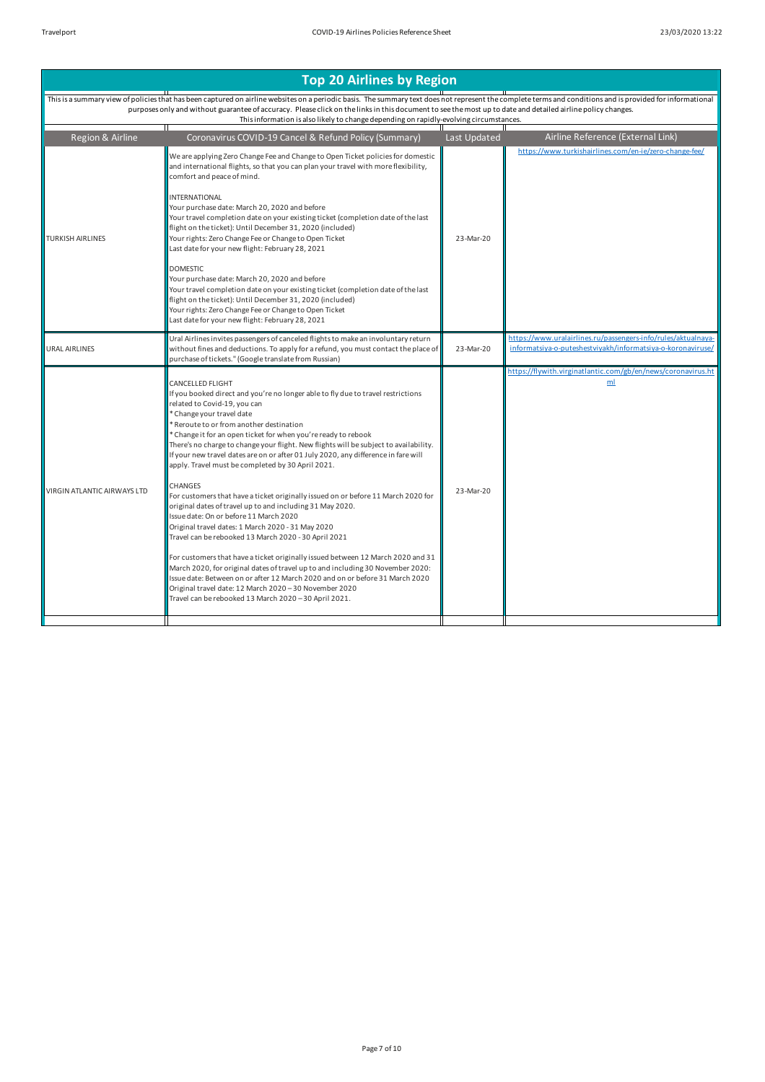Region & Airline Coronavirus COVID-19 Cancel & Refund Policy (Summary) Last Updated Airline Reference (External Link) This is a summary view of policies that has been captured on airline websites on a periodic basis. The summary text does not represent the complete terms and conditions and is provided for informational<br>purposes only and w This information is also likely to change depending on rapidly-evolving circumstances. TURKISH AIRLINES We are applying Zero Change Fee and Change to Open Ticket policies for domestic and international flights, so that you can plan your travel with more flexibility, comfort and peace of mind. **INTERNATIONAL** Your purchase date: March 20, 2020 and before Your travel completion date on your existing ticket (completion date of the last flight on the ticket): Until December 31, 2020 (included) Your rights: Zero Change Fee or Change to Open Ticket Last date for your new flight: February 28, 2021 **DOMESTIC** Your purchase date: March 20, 2020 and before Your travel completion date on your existing ticket (completion date of the last flight on the ticket): Until December 31, 2020 (included) Your rights: Zero Change Fee or Change to Open Ticket Last date for your new flight: February 28, 2021 23-Mar-20 https://ww URAL AIRLINES Ural Airlines invites passengers of canceled flights to make an involuntary return without fines and deductions. To apply for a refund, you must contact the place of purchase of tickets." (Google translate from Russian) 23-Mar-20 https://www.uralairlines.ru/passengers-info/rules/aktualnayainformatsiya-o-puteshestviyakh/informatsiya-o-koronaviruse/ VIRGIN ATLANTIC AIRWAYS LTD CANCELLED FLIGHT If you booked direct and you're no longer able to fly due to travel restrictions related to Covid-19, you can \* Change your travel date Reroute to or from another destination \* Change it for an open ticket for when you're ready to rebook There's no charge to change your flight. New flights will be subject to availability. If your new travel dates are on or after 01 July 2020, any difference in fare will apply. Travel must be completed by 30 April 2021. **CHANGES** For customers that have a ticket originally issued on or before 11 March 2020 for original dates of travel up to and including 31 May 2020. Issue date: On or before 11 March 2020 Original travel dates: 1 March 2020 - 31 May 2020 Travel can be rebooked 13 March 2020 - 30 April 2021 For customers that have a ticket originally issued between 12 March 2020 and 31 March 2020, for original dates of travel up to and including 30 November 2020: Issue date: Between on or after 12 March 2020 and on or before 31 March 2020 Original travel date: 12 March 2020 – 30 November 2020 Travel can be rebooked 13 March 2020 – 30 April 2021. 23-Mar-20 https://flywith.virginatlantic.com/gb/en/news/coronavirus.ht ml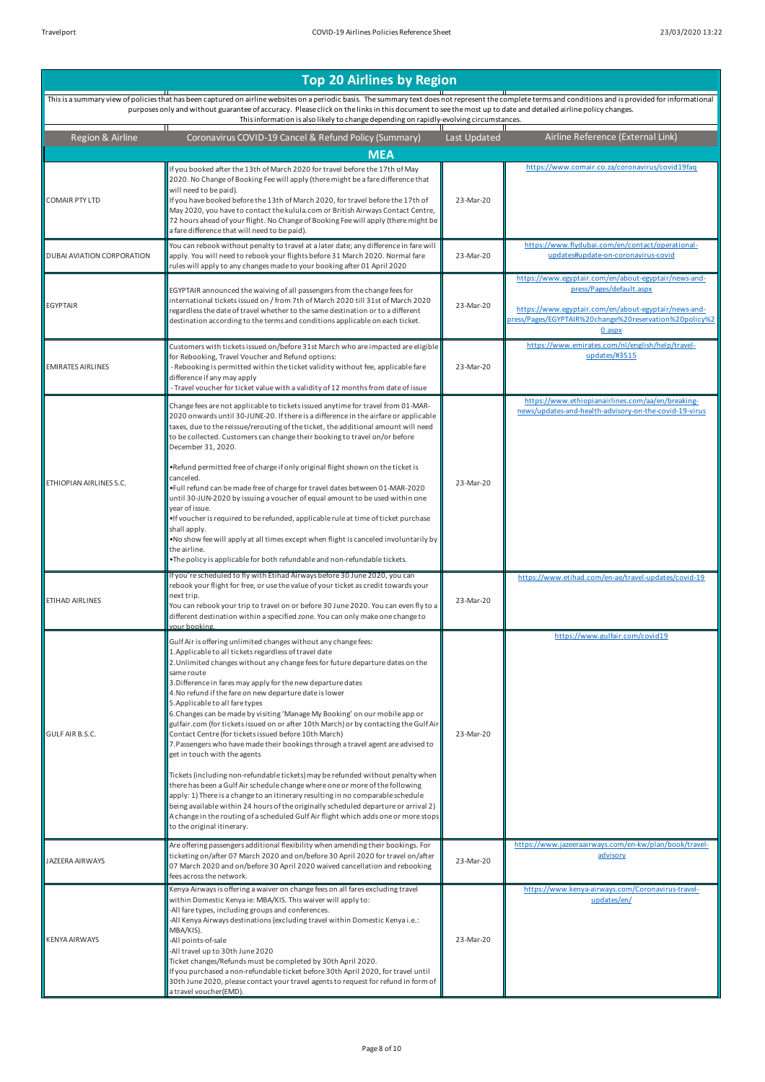| Region & Airline           | Coronavirus COVID-19 Cancel & Refund Policy (Summary)                                                                                                                                                                                                                                                                                                                                                                                                                                                                                                                                                                                                                                                                                                                                                                                                                                                                                                                                                                                                                                                                                                                                                          | Last Updated | Airline Reference (External Link)                                                                                                                                                                               |
|----------------------------|----------------------------------------------------------------------------------------------------------------------------------------------------------------------------------------------------------------------------------------------------------------------------------------------------------------------------------------------------------------------------------------------------------------------------------------------------------------------------------------------------------------------------------------------------------------------------------------------------------------------------------------------------------------------------------------------------------------------------------------------------------------------------------------------------------------------------------------------------------------------------------------------------------------------------------------------------------------------------------------------------------------------------------------------------------------------------------------------------------------------------------------------------------------------------------------------------------------|--------------|-----------------------------------------------------------------------------------------------------------------------------------------------------------------------------------------------------------------|
|                            | <b>MEA</b>                                                                                                                                                                                                                                                                                                                                                                                                                                                                                                                                                                                                                                                                                                                                                                                                                                                                                                                                                                                                                                                                                                                                                                                                     |              |                                                                                                                                                                                                                 |
| <b>COMAIR PTY LTD</b>      | If you booked after the 13th of March 2020 for travel before the 17th of May<br>2020. No Change of Booking Fee will apply (there might be a fare difference that<br>will need to be paid).<br>If you have booked before the 13th of March 2020, for travel before the 17th of<br>May 2020, you have to contact the kulula.com or British Airways Contact Centre,<br>72 hours ahead of your flight. No Change of Booking Fee will apply (there might be<br>a fare difference that will need to be paid).                                                                                                                                                                                                                                                                                                                                                                                                                                                                                                                                                                                                                                                                                                        | 23-Mar-20    | https://www.comair.co.za/coronavirus/covid19faq                                                                                                                                                                 |
| DUBAI AVIATION CORPORATION | You can rebook without penalty to travel at a later date; any difference in fare will<br>apply. You will need to rebook your flights before 31 March 2020. Normal fare<br>rules will apply to any changes made to your booking after 01 April 2020                                                                                                                                                                                                                                                                                                                                                                                                                                                                                                                                                                                                                                                                                                                                                                                                                                                                                                                                                             | 23-Mar-20    | https://www.flydubai.com/en/contact/operational-<br>updates#update-on-coronavirus-covid                                                                                                                         |
| <b>EGYPTAIR</b>            | EGYPTAIR announced the waiving of all passengers from the change fees for<br>international tickets issued on / from 7th of March 2020 till 31st of March 2020<br>regardless the date of travel whether to the same destination or to a different<br>destination according to the terms and conditions applicable on each ticket.                                                                                                                                                                                                                                                                                                                                                                                                                                                                                                                                                                                                                                                                                                                                                                                                                                                                               | 23-Mar-20    | https://www.egyptair.com/en/about-egyptair/news-and-<br>press/Pages/default.aspx<br>https://www.egyptair.com/en/about-egyptair/news-and-<br>press/Pages/EGYPTAIR%20change%20reservation%20policy%2<br>$0.3$ spx |
| <b>EMIRATES AIRLINES</b>   | Customers with tickets issued on/before 31st March who are impacted are eligible<br>for Rebooking, Travel Voucher and Refund options:<br>- Rebooking is permitted within the ticket validity without fee, applicable fare<br>difference if any may apply<br>- Travel voucher for ticket value with a validity of 12 months from date of issue                                                                                                                                                                                                                                                                                                                                                                                                                                                                                                                                                                                                                                                                                                                                                                                                                                                                  | 23-Mar-20    | https://www.emirates.com/nl/english/help/travel-<br>updates/#3515                                                                                                                                               |
| ETHIOPIAN AIRLINES S.C.    | Change fees are not applicable to tickets issued anytime for travel from 01-MAR-<br>2020 onwards until 30-JUNE-20. If there is a difference in the airfare or applicable<br>taxes, due to the reissue/rerouting of the ticket, the additional amount will need<br>to be collected. Customers can change their booking to travel on/or before<br>December 31, 2020.<br>.Refund permitted free of charge if only original flight shown on the ticket is<br>canceled.<br>.Full refund can be made free of charge for travel dates between 01-MAR-2020<br>until 30-JUN-2020 by issuing a voucher of equal amount to be used within one<br>year of issue.<br>•If voucher is required to be refunded, applicable rule at time of ticket purchase<br>shall apply.<br>. No show fee will apply at all times except when flight is canceled involuntarily by<br>the airline.<br>.The policy is applicable for both refundable and non-refundable tickets.                                                                                                                                                                                                                                                               | 23-Mar-20    | https://www.ethiopianairlines.com/aa/en/breaking-<br>news/updates-and-health-advisory-on-the-covid-19-virus                                                                                                     |
|                            | If you're scheduled to fly with Etihad Airways before 30 June 2020, you can<br>rebook your flight for free, or use the value of your ticket as credit towards your                                                                                                                                                                                                                                                                                                                                                                                                                                                                                                                                                                                                                                                                                                                                                                                                                                                                                                                                                                                                                                             |              | https://www.etihad.com/en-ae/travel-updates/covid-19                                                                                                                                                            |
| ETIHAD AIRLINES            | next trip.<br>You can rebook your trip to travel on or before 30 June 2020. You can even fly to a<br>different destination within a specified zone. You can only make one change to<br>vour booking.                                                                                                                                                                                                                                                                                                                                                                                                                                                                                                                                                                                                                                                                                                                                                                                                                                                                                                                                                                                                           | 23-Mar-20    |                                                                                                                                                                                                                 |
| GULF AIR B.S.C.            | Gulf Air is offering unlimited changes without any change fees:<br>1. Applicable to all tickets regardless of travel date<br>2. Unlimited changes without any change fees for future departure dates on the<br>same route<br>3. Difference in fares may apply for the new departure dates<br>4. No refund if the fare on new departure date is lower<br>5. Applicable to all fare types<br>6. Changes can be made by visiting 'Manage My Booking' on our mobile app or<br>gulfair.com (for tickets issued on or after 10th March) or by contacting the Gulf Air<br>Contact Centre (for tickets issued before 10th March)<br>7. Passengers who have made their bookings through a travel agent are advised to<br>get in touch with the agents<br>Tickets (including non-refundable tickets) may be refunded without penalty when<br>there has been a Gulf Air schedule change where one or more of the following<br>apply: 1) There is a change to an itinerary resulting in no comparable schedule<br>being available within 24 hours of the originally scheduled departure or arrival 2)<br>A change in the routing of a scheduled Gulf Air flight which adds one or more stops<br>to the original itinerary. | 23-Mar-20    | https://www.gulfair.com/covid19                                                                                                                                                                                 |
| JAZEERA AIRWAYS            | Are offering passengers additional flexibility when amending their bookings. For<br>ticketing on/after 07 March 2020 and on/before 30 April 2020 for travel on/after<br>07 March 2020 and on/before 30 April 2020 waived cancellation and rebooking<br>fees across the network.                                                                                                                                                                                                                                                                                                                                                                                                                                                                                                                                                                                                                                                                                                                                                                                                                                                                                                                                | 23-Mar-20    | https://www.jazeeraairways.com/en-kw/plan/book/travel-<br>advisory                                                                                                                                              |
| KENYA AIRWAYS              | Kenya Airways is offering a waiver on change fees on all fares excluding travel<br>within Domestic Kenya ie: MBA/KIS. This waiver will apply to:<br>-All fare types, including groups and conferences.<br>-All Kenya Airways destinations (excluding travel within Domestic Kenya i.e.:<br>MBA/KIS).<br>-All points-of-sale<br>-All travel up to 30th June 2020<br>Ticket changes/Refunds must be completed by 30th April 2020.<br>If you purchased a non-refundable ticket before 30th April 2020, for travel until<br>30th June 2020, please contact your travel agents to request for refund in form of<br>a travel voucher(EMD).                                                                                                                                                                                                                                                                                                                                                                                                                                                                                                                                                                           | 23-Mar-20    | https://www.kenya-airways.com/Coronavirus-travel-<br>updates/en/                                                                                                                                                |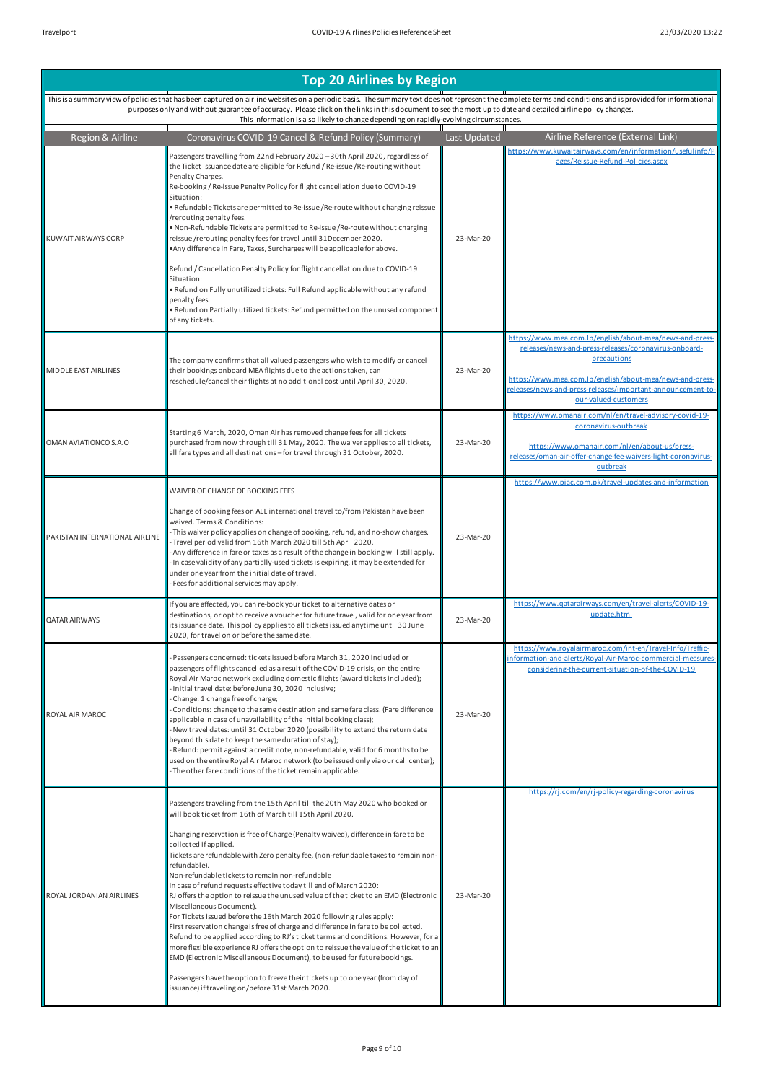This is a summary view of policies that has been captured on airline websites on a periodic basis. The summary text does not represent the complete terms and conditions and is provided for informational<br>purposes only and w This information is also likely to change depending on rapidly-evolving circumstances.<br>This information is also likely to change depending on rapidly-evolving circumstances.

| Region & Airline               | Coronavirus COVID-19 Cancel & Refund Policy (Summary)                                                                                                                                                                                                                                                                                                                                                                                                                                                                                                                                                                                                                                                                                                                                                                                                                                                                                                                                                                                                                                                                                                                        | Last Updated | Airline Reference (External Link)                                                                                                                                                                                                                                                   |
|--------------------------------|------------------------------------------------------------------------------------------------------------------------------------------------------------------------------------------------------------------------------------------------------------------------------------------------------------------------------------------------------------------------------------------------------------------------------------------------------------------------------------------------------------------------------------------------------------------------------------------------------------------------------------------------------------------------------------------------------------------------------------------------------------------------------------------------------------------------------------------------------------------------------------------------------------------------------------------------------------------------------------------------------------------------------------------------------------------------------------------------------------------------------------------------------------------------------|--------------|-------------------------------------------------------------------------------------------------------------------------------------------------------------------------------------------------------------------------------------------------------------------------------------|
| KUWAIT AIRWAYS CORP            | Passengers travelling from 22nd February 2020 - 30th April 2020, regardless of<br>the Ticket issuance date are eligible for Refund / Re-issue / Re-routing without<br>Penalty Charges.<br>Re-booking / Re-issue Penalty Policy for flight cancellation due to COVID-19<br>Situation:<br>. Refundable Tickets are permitted to Re-issue /Re-route without charging reissue<br>/rerouting penalty fees.<br>. Non-Refundable Tickets are permitted to Re-issue /Re-route without charging<br>reissue /rerouting penalty fees for travel until 31December 2020.<br>.Any difference in Fare, Taxes, Surcharges will be applicable for above.<br>Refund / Cancellation Penalty Policy for flight cancellation due to COVID-19<br>Situation:<br>. Refund on Fully unutilized tickets: Full Refund applicable without any refund<br>penalty fees.<br>. Refund on Partially utilized tickets: Refund permitted on the unused component<br>of any tickets.                                                                                                                                                                                                                             | 23-Mar-20    | https://www.kuwaitairways.com/en/information/usefulinfo/P<br>ages/Reissue-Refund-Policies.aspx                                                                                                                                                                                      |
| MIDDLE EAST AIRLINES           | The company confirms that all valued passengers who wish to modify or cancel<br>their bookings onboard MEA flights due to the actions taken, can<br>reschedule/cancel their flights at no additional cost until April 30, 2020.                                                                                                                                                                                                                                                                                                                                                                                                                                                                                                                                                                                                                                                                                                                                                                                                                                                                                                                                              | 23-Mar-20    | https://www.mea.com.lb/english/about-mea/news-and-press-<br>releases/news-and-press-releases/coronavirus-onboard-<br>precautions<br>https://www.mea.com.lb/english/about-mea/news-and-press-<br>releases/news-and-press-releases/important-announcement-to-<br>our-valued-customers |
| OMAN AVIATIONCO S.A.O          | Starting 6 March, 2020, Oman Air has removed change fees for all tickets<br>purchased from now through till 31 May, 2020. The waiver applies to all tickets,<br>all fare types and all destinations - for travel through 31 October, 2020.                                                                                                                                                                                                                                                                                                                                                                                                                                                                                                                                                                                                                                                                                                                                                                                                                                                                                                                                   | 23-Mar-20    | https://www.omanair.com/nl/en/travel-advisory-covid-19-<br>coronavirus-outbreak<br>https://www.omanair.com/nl/en/about-us/press-<br>releases/oman-air-offer-change-fee-waivers-light-coronavirus-<br>outbreak                                                                       |
| PAKISTAN INTERNATIONAL AIRLINE | WAIVER OF CHANGE OF BOOKING FEES<br>Change of booking fees on ALL international travel to/from Pakistan have been<br>waived. Terms & Conditions:<br>This waiver policy applies on change of booking, refund, and no-show charges.<br>- Travel period valid from 16th March 2020 till 5th April 2020.<br>Any difference in fare or taxes as a result of the change in booking will still apply.<br>In case validity of any partially-used tickets is expiring, it may be extended for<br>under one year from the initial date of travel.<br>Fees for additional services may apply.                                                                                                                                                                                                                                                                                                                                                                                                                                                                                                                                                                                           | 23-Mar-20    | https://www.piac.com.pk/travel-updates-and-information                                                                                                                                                                                                                              |
| <b>QATAR AIRWAYS</b>           | If you are affected, you can re-book your ticket to alternative dates or<br>destinations, or opt to receive a voucher for future travel, valid for one year from<br>its issuance date. This policy applies to all tickets issued anytime until 30 June<br>2020, for travel on or before the same date.                                                                                                                                                                                                                                                                                                                                                                                                                                                                                                                                                                                                                                                                                                                                                                                                                                                                       | 23-Mar-20    | https://www.gatarairways.com/en/travel-alerts/COVID-19-<br>update.html                                                                                                                                                                                                              |
| ROYAL AIR MAROC                | Passengers concerned: tickets issued before March 31, 2020 included or<br>passengers of flights cancelled as a result of the COVID-19 crisis, on the entire<br>Royal Air Maroc network excluding domestic flights (award tickets included);<br>- Initial travel date: before June 30, 2020 inclusive;<br>Change: 1 change free of charge;<br>Conditions: change to the same destination and same fare class. (Fare difference<br>applicable in case of unavailability of the initial booking class);<br>- New travel dates: until 31 October 2020 (possibility to extend the return date<br>beyond this date to keep the same duration of stay);<br>- Refund: permit against a credit note, non-refundable, valid for 6 months to be<br>used on the entire Royal Air Maroc network (to be issued only via our call center);<br>- The other fare conditions of the ticket remain applicable.                                                                                                                                                                                                                                                                                  | 23-Mar-20    | https://www.royalairmaroc.com/int-en/Travel-Info/Traffic-<br>nformation-and-alerts/Royal-Air-Maroc-commercial-measures-<br>considering-the-current-situation-of-the-COVID-19                                                                                                        |
| ROYAL JORDANIAN AIRLINES       | Passengers traveling from the 15th April till the 20th May 2020 who booked or<br>will book ticket from 16th of March till 15th April 2020.<br>Changing reservation is free of Charge (Penalty waived), difference in fare to be<br>collected if applied.<br>Tickets are refundable with Zero penalty fee, (non-refundable taxes to remain non-<br>refundable).<br>Non-refundable tickets to remain non-refundable<br>In case of refund requests effective today till end of March 2020:<br>RJ offers the option to reissue the unused value of the ticket to an EMD (Electronic<br>Miscellaneous Document).<br>For Tickets issued before the 16th March 2020 following rules apply:<br>First reservation change is free of charge and difference in fare to be collected.<br>Refund to be applied according to RJ's ticket terms and conditions. However, for a<br>more flexible experience RJ offers the option to reissue the value of the ticket to an<br>EMD (Electronic Miscellaneous Document), to be used for future bookings.<br>Passengers have the option to freeze their tickets up to one year (from day of<br>issuance) if traveling on/before 31st March 2020. | 23-Mar-20    | https://rj.com/en/rj-policy-regarding-coronavirus                                                                                                                                                                                                                                   |